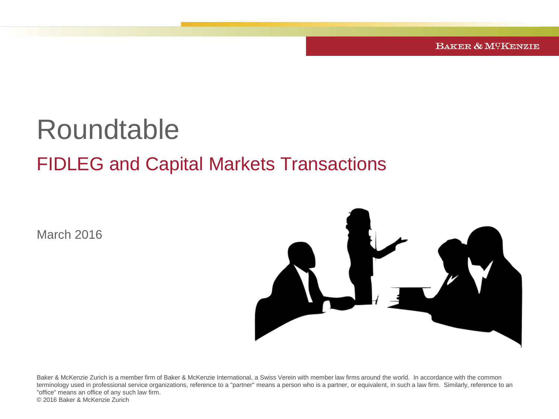BAKER & MCKENZIE

## Roundtable FIDLEG and Capital Markets Transactions

March 2016



Baker & McKenzie Zurich is a member firm of Baker & McKenzie International, a Swiss Verein with member law firms around the world. In accordance with the common terminology used in professional service organizations, reference to a "partner" means a person who is a partner, or equivalent, in such a law firm. Similarly, reference to an "office" means an office of any such law firm. © 2016 Baker & McKenzie Zurich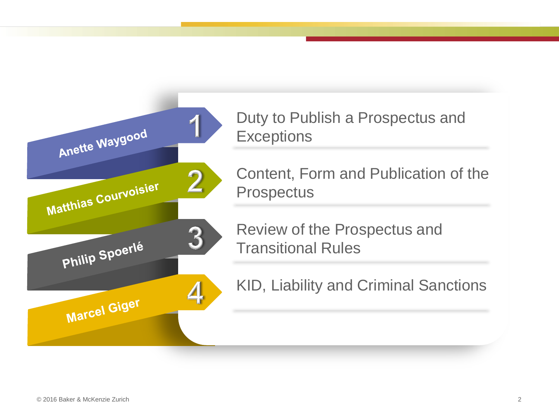

Duty to Publish a Prospectus and **Exceptions** 

Content, Form and Publication of the **Prospectus** 

Review of the Prospectus and Transitional Rules

KID, Liability and Criminal Sanctions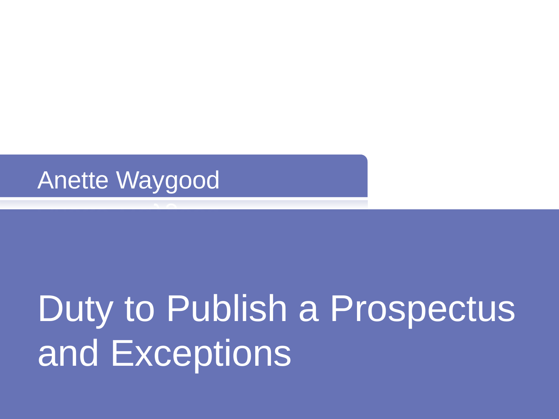### Anette Waygood

## Duty to Publish a Prospectus and Exceptions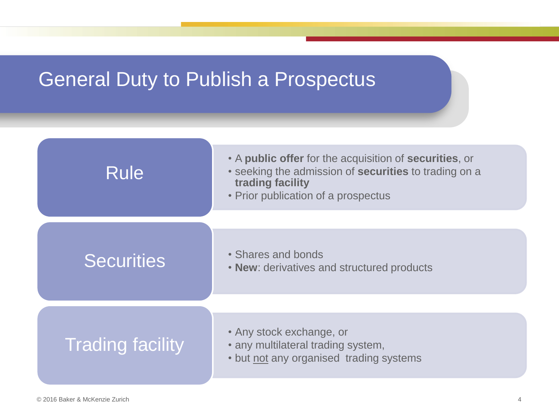#### General Duty to Publish a Prospectus

| <b>Rule</b>             | . A public offer for the acquisition of securities, or<br>• seeking the admission of securities to trading on a<br>trading facility<br>• Prior publication of a prospectus |  |
|-------------------------|----------------------------------------------------------------------------------------------------------------------------------------------------------------------------|--|
|                         |                                                                                                                                                                            |  |
| <b>Securities</b>       | • Shares and bonds<br>. New: derivatives and structured products                                                                                                           |  |
|                         |                                                                                                                                                                            |  |
| <b>Trading facility</b> | • Any stock exchange, or<br>• any multilateral trading system,<br>• but not any organised trading systems                                                                  |  |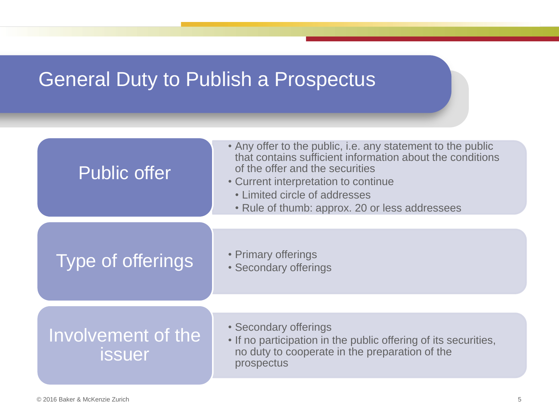#### General Duty to Publish a Prospectus

| <b>Public offer</b>                        | • Any offer to the public, i.e. any statement to the public<br>that contains sufficient information about the conditions<br>of the offer and the securities<br>• Current interpretation to continue<br>• Limited circle of addresses<br>• Rule of thumb: approx. 20 or less addressees |
|--------------------------------------------|----------------------------------------------------------------------------------------------------------------------------------------------------------------------------------------------------------------------------------------------------------------------------------------|
|                                            |                                                                                                                                                                                                                                                                                        |
| Type of offerings                          | • Primary offerings<br>• Secondary offerings                                                                                                                                                                                                                                           |
|                                            |                                                                                                                                                                                                                                                                                        |
| <b>Involvement of the</b><br><i>issuer</i> | • Secondary offerings<br>• If no participation in the public offering of its securities,<br>no duty to cooperate in the preparation of the<br>prospectus                                                                                                                               |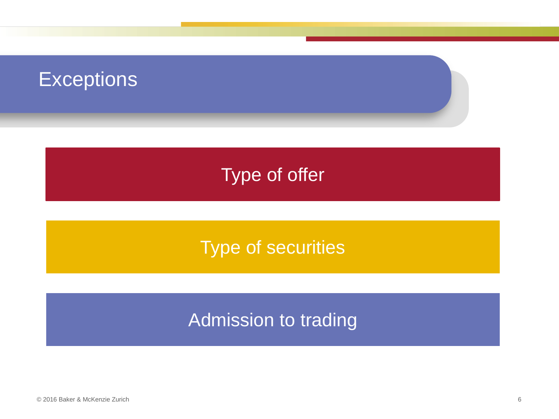#### **Exceptions**

#### Type of offer

#### Type of securities

#### Admission to trading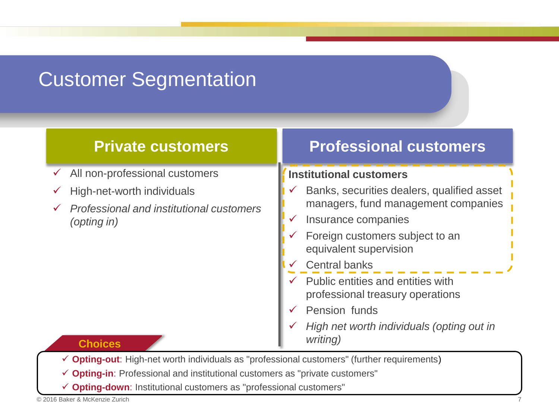### Customer Segmentation

| <b>Private customers</b>                                                                                              | <b>Professional customers</b>                                                          |
|-----------------------------------------------------------------------------------------------------------------------|----------------------------------------------------------------------------------------|
| All non-professional customers<br>$\checkmark$                                                                        | <b>Institutional customers</b>                                                         |
| High-net-worth individuals<br>$\checkmark$<br>Professional and institutional customers<br>$\checkmark$<br>(opting in) | Banks, securities dealers, qualified asset<br>✓<br>managers, fund management companies |
|                                                                                                                       | Insurance companies                                                                    |
|                                                                                                                       | Foreign customers subject to an<br>equivalent supervision                              |
|                                                                                                                       | <b>Central banks</b><br>✓                                                              |
|                                                                                                                       | Public entities and entities with<br>professional treasury operations                  |
|                                                                                                                       | Pension funds                                                                          |
| Choices                                                                                                               | High net worth individuals (opting out in<br><i>writing</i> )                          |

**Opting-out**: High-net worth individuals as "professional customers" (further requirements)

**Opting-in**: Professional and institutional customers as "private customers"

**Opting-down**: Institutional customers as "professional customers"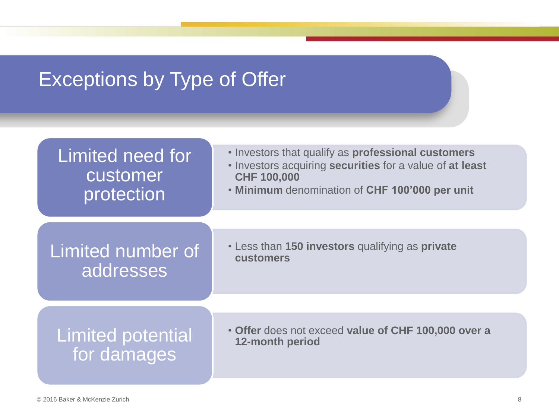### Exceptions by Type of Offer

| Limited need for<br>customer<br>protection | . Investors that qualify as professional customers<br>. Investors acquiring securities for a value of at least<br><b>CHF 100,000</b><br>. Minimum denomination of CHF 100'000 per unit |
|--------------------------------------------|----------------------------------------------------------------------------------------------------------------------------------------------------------------------------------------|
| Limited number of                          | • Less than 150 investors qualifying as private                                                                                                                                        |
| addresses                                  | <b>customers</b>                                                                                                                                                                       |
| <b>Limited potential</b>                   | • Offer does not exceed value of CHF 100,000 over a                                                                                                                                    |
| for damages                                | 12-month period                                                                                                                                                                        |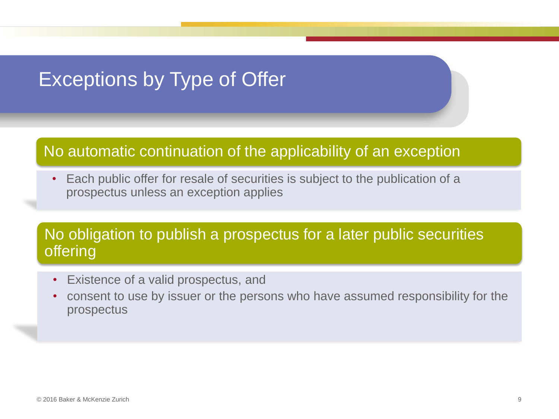### Exceptions by Type of Offer

#### No automatic continuation of the applicability of an exception

• Each public offer for resale of securities is subject to the publication of a prospectus unless an exception applies

#### No obligation to publish a prospectus for a later public securities **offering**

- Existence of a valid prospectus, and
- consent to use by issuer or the persons who have assumed responsibility for the prospectus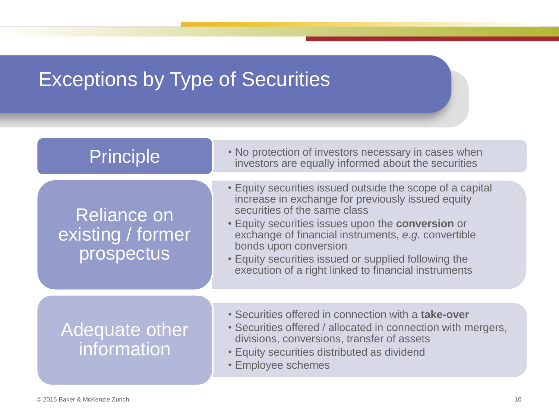### Exceptions by Type of Securities

| <b>Principle</b>                               | • No protection of investors necessary in cases when<br>investors are equally informed about the securities                                                                                                                                                                                                                                                                                         |
|------------------------------------------------|-----------------------------------------------------------------------------------------------------------------------------------------------------------------------------------------------------------------------------------------------------------------------------------------------------------------------------------------------------------------------------------------------------|
| Reliance on<br>existing / former<br>prospectus | • Equity securities issued outside the scope of a capital<br>increase in exchange for previously issued equity<br>securities of the same class<br>• Equity securities issues upon the conversion or<br>exchange of financial instruments, e.g. convertible<br>bonds upon conversion<br>• Equity securities issued or supplied following the<br>execution of a right linked to financial instruments |
|                                                |                                                                                                                                                                                                                                                                                                                                                                                                     |
| Adequate other<br>information                  | • Securities offered in connection with a <b>take-over</b><br>• Securities offered / allocated in connection with mergers,<br>divisions, conversions, transfer of assets<br>• Equity securities distributed as dividend<br>• Employee schemes                                                                                                                                                       |
|                                                |                                                                                                                                                                                                                                                                                                                                                                                                     |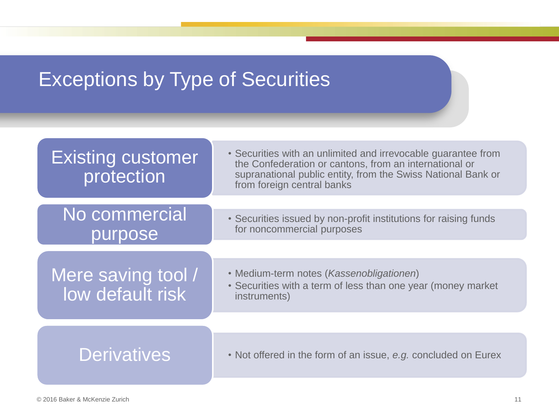#### Exceptions by Type of Securities

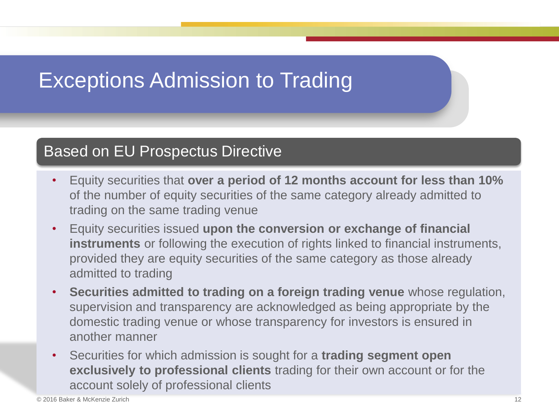### Exceptions Admission to Trading

#### Based on EU Prospectus Directive

- Equity securities that **over a period of 12 months account for less than 10%**  of the number of equity securities of the same category already admitted to trading on the same trading venue
- Equity securities issued **upon the conversion or exchange of financial instruments** or following the execution of rights linked to financial instruments, provided they are equity securities of the same category as those already admitted to trading
- **Securities admitted to trading on a foreign trading venue** whose regulation, supervision and transparency are acknowledged as being appropriate by the domestic trading venue or whose transparency for investors is ensured in another manner
- Securities for which admission is sought for a **trading segment open exclusively to professional clients** trading for their own account or for the account solely of professional clients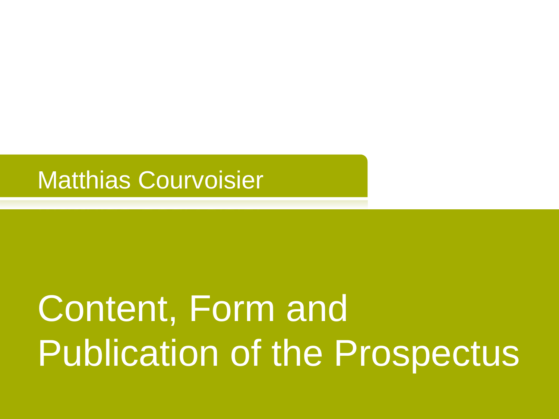### Matthias Courvoisier

# Content, Form and Publication of the Prospectus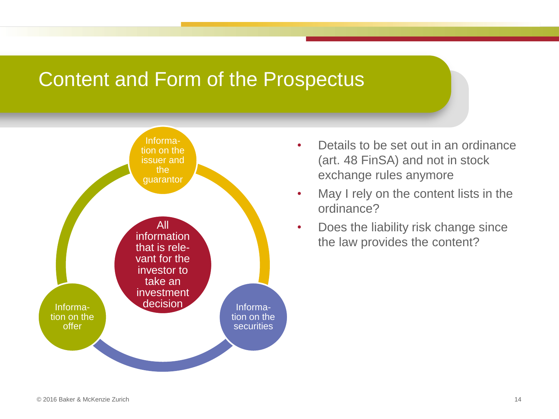

- Details to be set out in an ordinance (art. 48 FinSA) and not in stock exchange rules anymore
- May I rely on the content lists in the ordinance?
- Does the liability risk change since the law provides the content?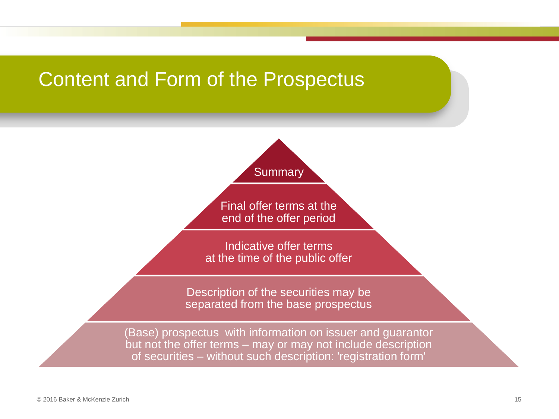

Final offer terms at the end of the offer period

Indicative offer terms at the time of the public offer

Description of the securities may be separated from the base prospectus

(Base) prospectus with information on issuer and guarantor but not the offer terms – may or may not include description of securities – without such description: 'registration form'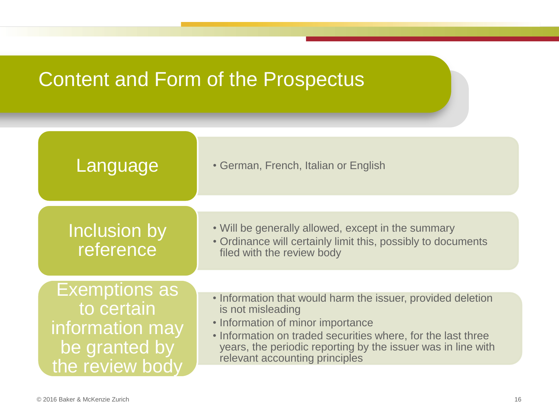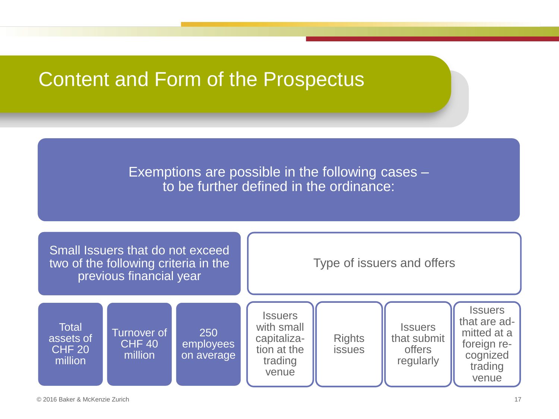#### Exemptions are possible in the following cases – to be further defined in the ordinance:

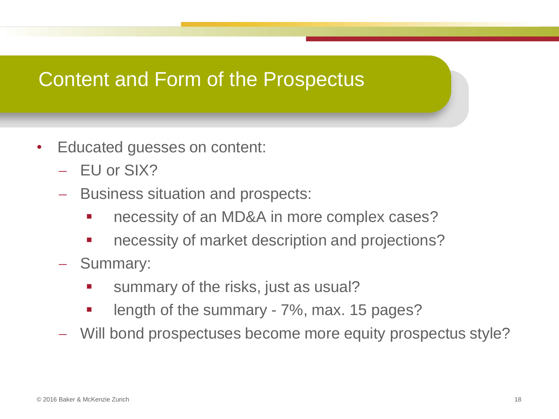- Educated guesses on content:
	- $-$  EU or SIX?
	- Business situation and prospects:
		- necessity of an MD&A in more complex cases?
		- necessity of market description and projections?
	- Summary:
		- summary of the risks, just as usual?
		- length of the summary 7%, max. 15 pages?
	- Will bond prospectuses become more equity prospectus style?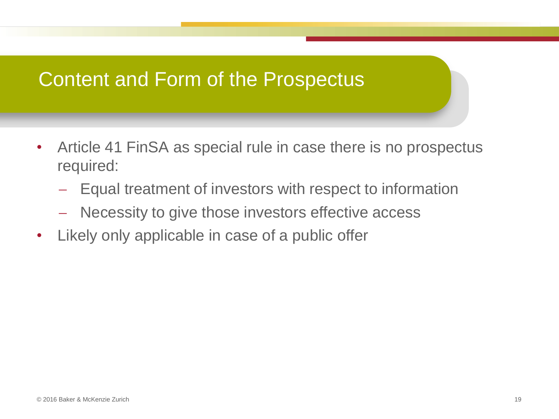- Article 41 FinSA as special rule in case there is no prospectus required:
	- Equal treatment of investors with respect to information
	- Necessity to give those investors effective access
- Likely only applicable in case of a public offer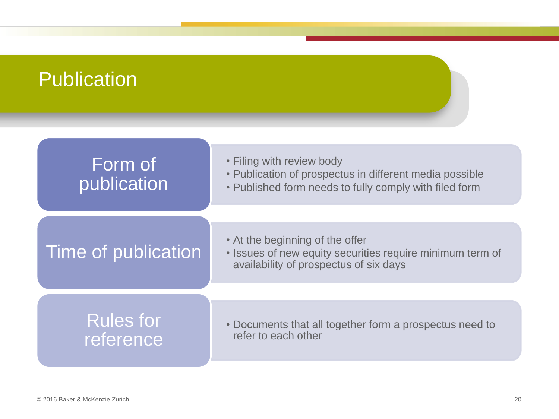#### **Publication** • Filing with review body • Publication of prospectus in different media possible • Published form needs to fully comply with filed form Form of publication • At the beginning of the offer • Issues of new equity securities require minimum term of availability of prospectus of six days Time of publication • Documents that all together form a prospectus need to refer to each other Rules for reference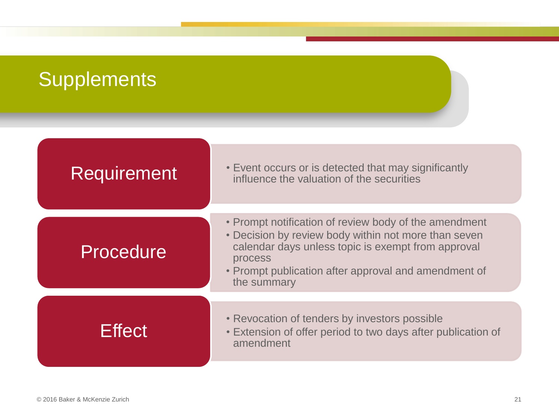### **Supplements**

| <b>Requirement</b> | • Event occurs or is detected that may significantly<br>influence the valuation of the securities                                                                                                                                                     |
|--------------------|-------------------------------------------------------------------------------------------------------------------------------------------------------------------------------------------------------------------------------------------------------|
| Procedure          | • Prompt notification of review body of the amendment<br>• Decision by review body within not more than seven<br>calendar days unless topic is exempt from approval<br>process<br>• Prompt publication after approval and amendment of<br>the summary |
| <b>Effect</b>      | • Revocation of tenders by investors possible<br>• Extension of offer period to two days after publication of<br>amendment                                                                                                                            |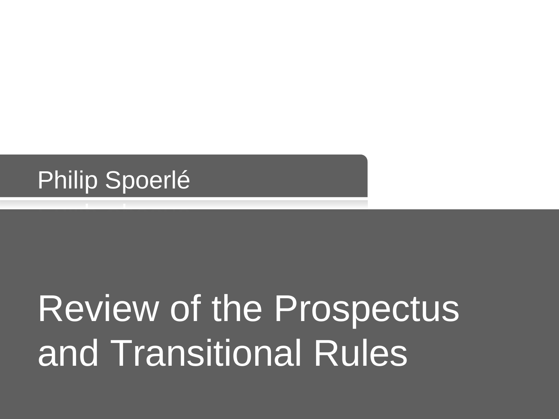### Philip Spoerlé

# Review of the Prospectus and Transitional Rules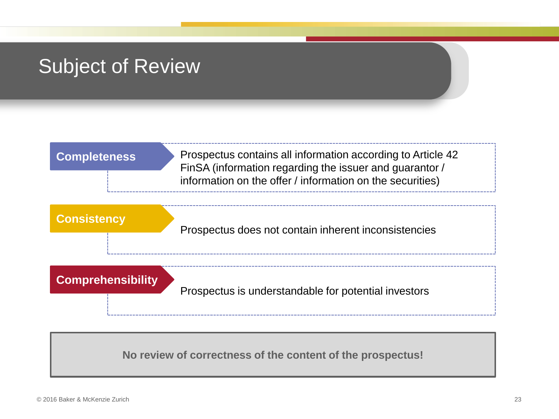#### Subject of Review



**No review of correctness of the content of the prospectus!**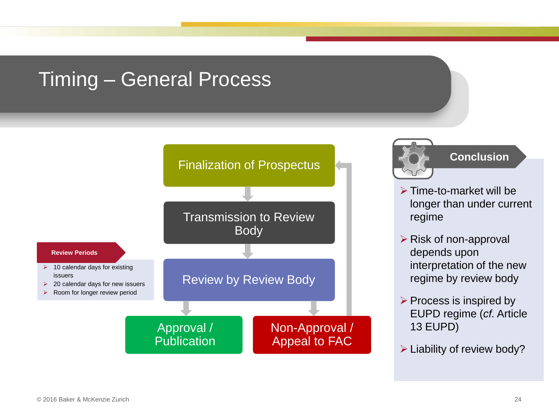#### Timing – General Process





#### **Conclusion**

- $\triangleright$  Time-to-market will be longer than under current regime
- $\triangleright$  Risk of non-approval depends upon interpretation of the new regime by review body
- $\triangleright$  Process is inspired by EUPD regime (*cf.* Article 13 EUPD)
- $\triangleright$  Liability of review body?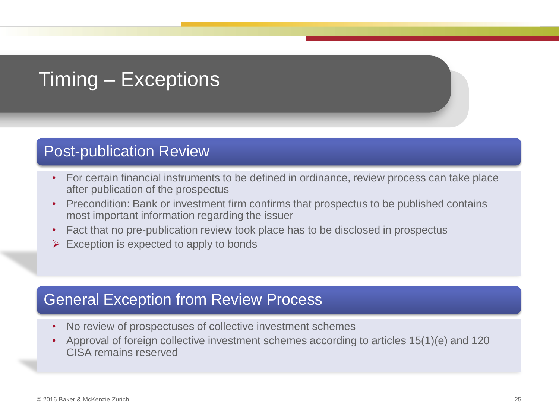### Timing – Exceptions

#### Post-publication Review

- For certain financial instruments to be defined in ordinance, review process can take place after publication of the prospectus
- Precondition: Bank or investment firm confirms that prospectus to be published contains most important information regarding the issuer
- Fact that no pre-publication review took place has to be disclosed in prospectus
- $\triangleright$  Exception is expected to apply to bonds

#### General Exception from Review Process

- No review of prospectuses of collective investment schemes
- Approval of foreign collective investment schemes according to articles 15(1)(e) and 120 CISA remains reserved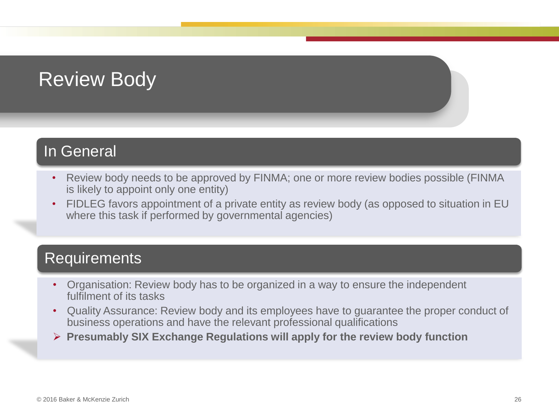### Review Body

#### In General

- Review body needs to be approved by FINMA; one or more review bodies possible (FINMA is likely to appoint only one entity)
- FIDLEG favors appointment of a private entity as review body (as opposed to situation in EU where this task if performed by governmental agencies)

#### **Requirements**

- Organisation: Review body has to be organized in a way to ensure the independent fulfilment of its tasks
- Quality Assurance: Review body and its employees have to guarantee the proper conduct of business operations and have the relevant professional qualifications
- **Presumably SIX Exchange Regulations will apply for the review body function**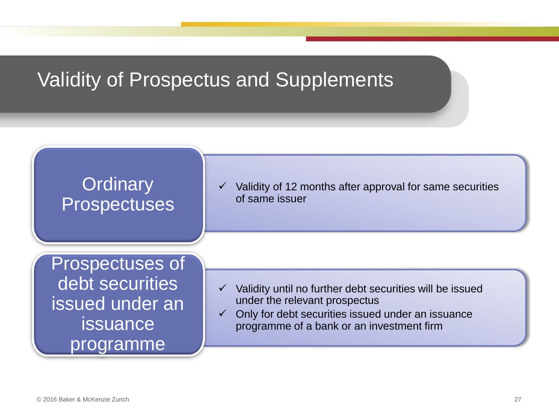#### Validity of Prospectus and Supplements

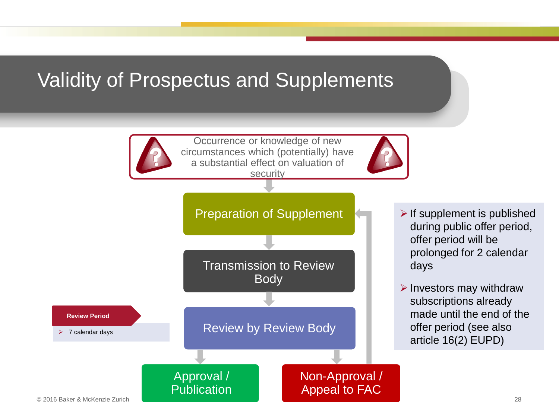#### Validity of Prospectus and Supplements



Approval / **Publication** 

**7 calendar days Review by Review Body** 

Non-Approval / Appeal to FAC

- $\triangleright$  If supplement is published during public offer period, offer period will be prolonged for 2 calendar days
- $\triangleright$  Investors may withdraw subscriptions already made until the end of the offer period (see also article 16(2) EUPD)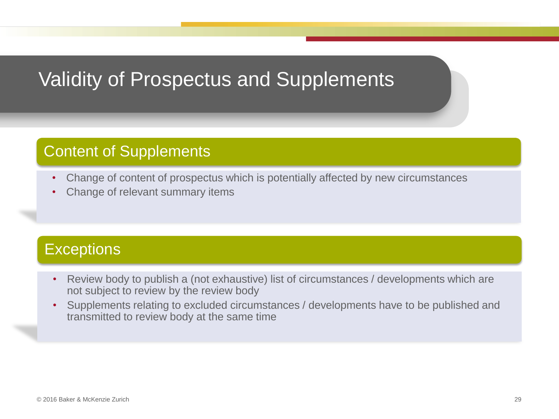### Validity of Prospectus and Supplements

#### Content of Supplements

- Change of content of prospectus which is potentially affected by new circumstances
- Change of relevant summary items

#### **Exceptions**

- Review body to publish a (not exhaustive) list of circumstances / developments which are not subject to review by the review body
- Supplements relating to excluded circumstances / developments have to be published and transmitted to review body at the same time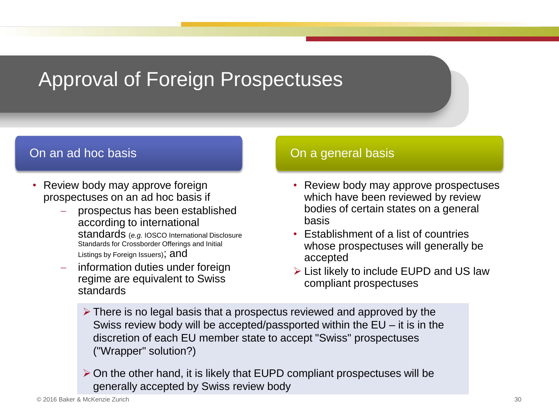### Approval of Foreign Prospectuses

#### On an ad hoc basis

- Review body may approve foreign prospectuses on an ad hoc basis if
	- prospectus has been established according to international standards (*e.g.* IOSCO International Disclosure Standards for Crossborder Offerings and Initial Listings by Foreign Issuers); and
	- information duties under foreign regime are equivalent to Swiss standards

#### On a general basis

- Review body may approve prospectuses which have been reviewed by review bodies of certain states on a general basis
- Establishment of a list of countries whose prospectuses will generally be accepted
- List likely to include EUPD and US law compliant prospectuses
- $\triangleright$  There is no legal basis that a prospectus reviewed and approved by the Swiss review body will be accepted/passported within the EU – it is in the discretion of each EU member state to accept "Swiss" prospectuses ("Wrapper" solution?)
- $\triangleright$  On the other hand, it is likely that EUPD compliant prospectuses will be generally accepted by Swiss review body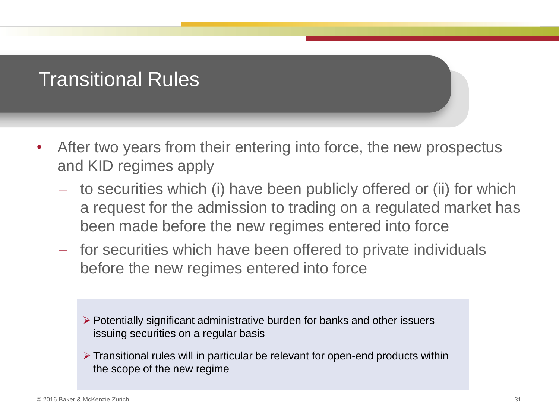### Transitional Rules

- After two years from their entering into force, the new prospectus and KID regimes apply
	- to securities which (i) have been publicly offered or (ii) for which a request for the admission to trading on a regulated market has been made before the new regimes entered into force
	- for securities which have been offered to private individuals before the new regimes entered into force
		- $\triangleright$  Potentially significant administrative burden for banks and other issuers issuing securities on a regular basis
		- Transitional rules will in particular be relevant for open-end products within the scope of the new regime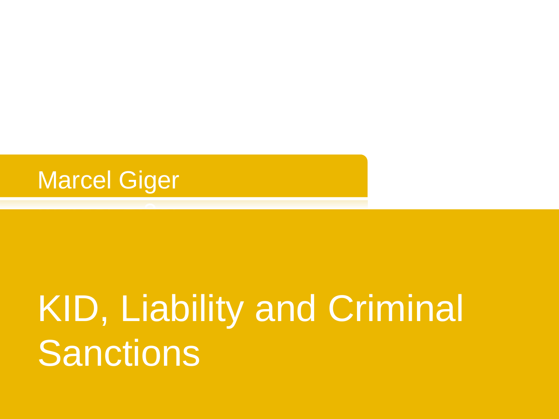

## KID, Liability and Criminal **Sanctions**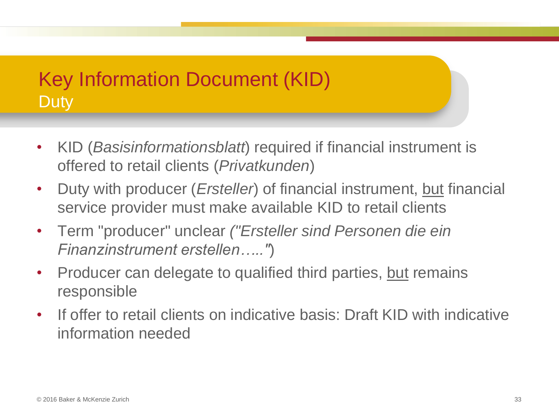### Key Information Document (KID) **Duty**

- KID (*Basisinformationsblatt*) required if financial instrument is offered to retail clients (*Privatkunden*)
- Duty with producer (*Ersteller*) of financial instrument, but financial service provider must make available KID to retail clients
- Term "producer" unclear *("Ersteller sind Personen die ein Finanzinstrument erstellen….."*)
- Producer can delegate to qualified third parties, but remains responsible
- If offer to retail clients on indicative basis: Draft KID with indicative information needed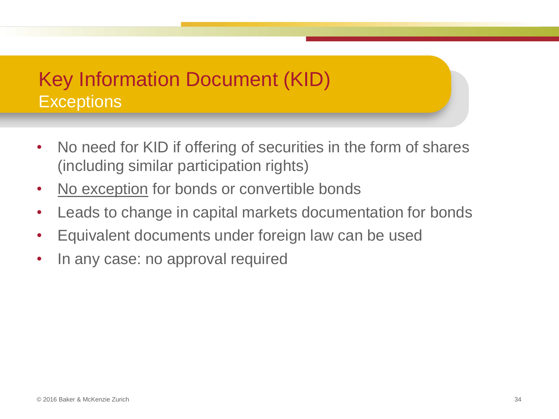### Key Information Document (KID) **Exceptions**

- No need for KID if offering of securities in the form of shares (including similar participation rights)
- No exception for bonds or convertible bonds
- Leads to change in capital markets documentation for bonds
- Equivalent documents under foreign law can be used
- In any case: no approval required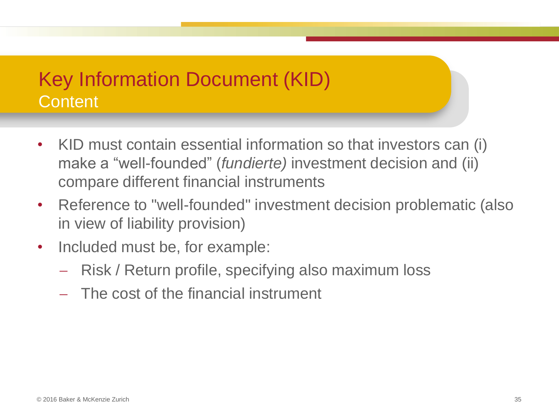### Key Information Document (KID) **Content**

- KID must contain essential information so that investors can (i) make a "well-founded" (*fundierte)* investment decision and (ii) compare different financial instruments
- Reference to "well-founded" investment decision problematic (also in view of liability provision)
- Included must be, for example:
	- Risk / Return profile, specifying also maximum loss
	- The cost of the financial instrument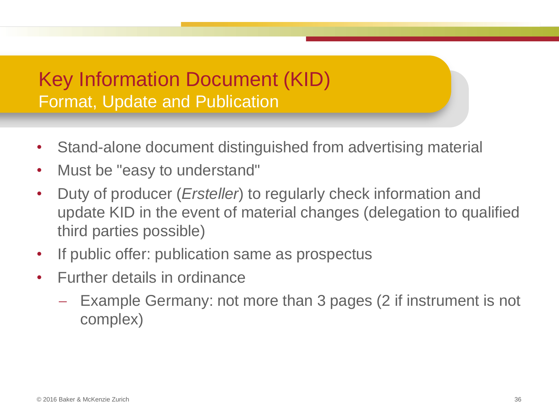### Key Information Document (KID) Format, Update and Publication

- Stand-alone document distinguished from advertising material
- Must be "easy to understand"
- Duty of producer (*Ersteller*) to regularly check information and update KID in the event of material changes (delegation to qualified third parties possible)
- If public offer: publication same as prospectus
- Further details in ordinance
	- Example Germany: not more than 3 pages (2 if instrument is not complex)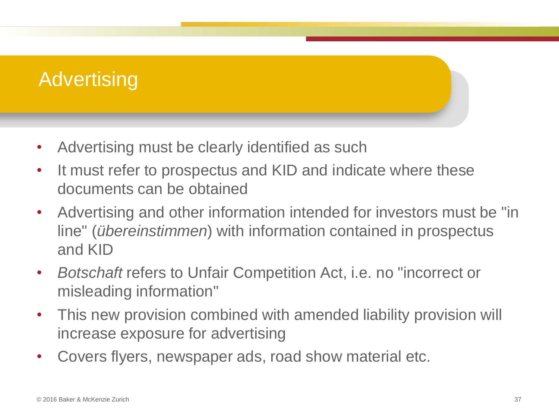### **Advertising**

- Advertising must be clearly identified as such
- It must refer to prospectus and KID and indicate where these documents can be obtained
- Advertising and other information intended for investors must be "in line" (*übereinstimmen*) with information contained in prospectus and KID
- *Botschaft* refers to Unfair Competition Act, i.e. no "incorrect or misleading information"
- This new provision combined with amended liability provision will increase exposure for advertising
- Covers flyers, newspaper ads, road show material etc.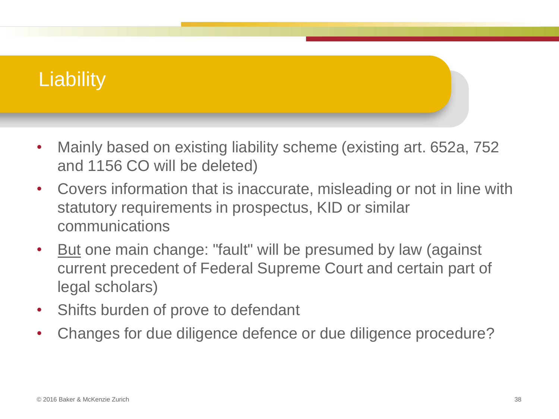### **Liability**

- Mainly based on existing liability scheme (existing art. 652a, 752 and 1156 CO will be deleted)
- Covers information that is inaccurate, misleading or not in line with statutory requirements in prospectus, KID or similar communications
- But one main change: "fault" will be presumed by law (against current precedent of Federal Supreme Court and certain part of legal scholars)
- Shifts burden of prove to defendant
- Changes for due diligence defence or due diligence procedure?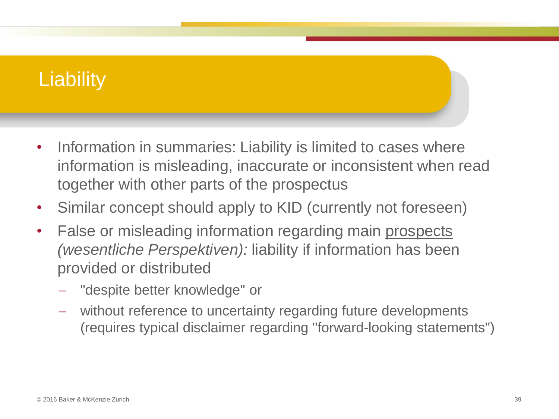### **Liability**

- Information in summaries: Liability is limited to cases where information is misleading, inaccurate or inconsistent when read together with other parts of the prospectus
- Similar concept should apply to KID (currently not foreseen)
- False or misleading information regarding main prospects *(wesentliche Perspektiven):* liability if information has been provided or distributed
	- "despite better knowledge" or
	- without reference to uncertainty regarding future developments (requires typical disclaimer regarding "forward-looking statements")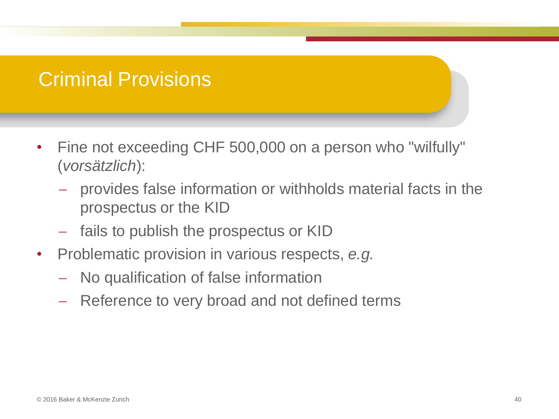#### Criminal Provisions

- Fine not exceeding CHF 500,000 on a person who "wilfully" (*vorsätzlich*):
	- provides false information or withholds material facts in the prospectus or the KID
	- fails to publish the prospectus or KID
- Problematic provision in various respects, *e.g.*
	- No qualification of false information
	- Reference to very broad and not defined terms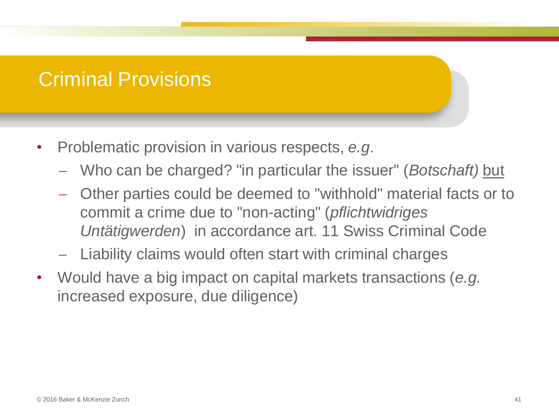#### Criminal Provisions

- Problematic provision in various respects, *e.g*.
	- Who can be charged? "in particular the issuer" (*Botschaft)* but
	- Other parties could be deemed to "withhold" material facts or to commit a crime due to "non-acting" (*pflichtwidriges Untätigwerden*) in accordance art. 11 Swiss Criminal Code
	- Liability claims would often start with criminal charges
- Would have a big impact on capital markets transactions (*e.g.* increased exposure, due diligence)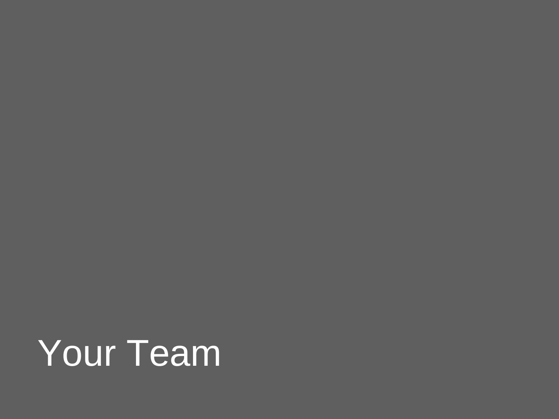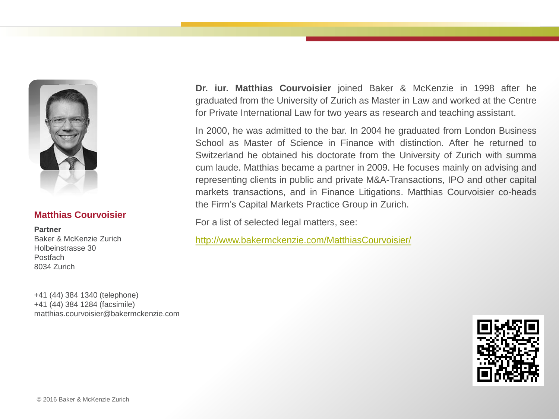

#### **Matthias Courvoisier**

**Partner** Baker & McKenzie Zurich Holbeinstrasse 30 **Postfach** 8034 Zurich

+41 (44) 384 1340 (telephone) +41 (44) 384 1284 (facsimile) matthias.courvoisier@bakermckenzie.com

**Dr. iur. Matthias Courvoisier** joined Baker & McKenzie in 1998 after he graduated from the University of Zurich as Master in Law and worked at the Centre for Private International Law for two years as research and teaching assistant.

In 2000, he was admitted to the bar. In 2004 he graduated from London Business School as Master of Science in Finance with distinction. After he returned to Switzerland he obtained his doctorate from the University of Zurich with summa cum laude. Matthias became a partner in 2009. He focuses mainly on advising and representing clients in public and private M&A-Transactions, IPO and other capital markets transactions, and in Finance Litigations. Matthias Courvoisier co-heads the Firm's Capital Markets Practice Group in Zurich.

For a list of selected legal matters, see:

<http://www.bakermckenzie.com/MatthiasCourvoisier/>

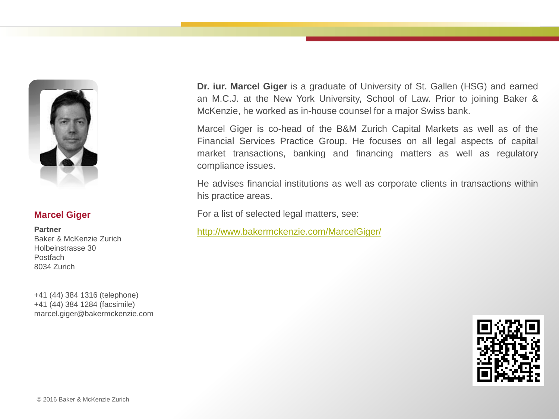

#### **Marcel Giger**

**Partner** Baker & McKenzie Zurich Holbeinstrasse 30 **Postfach** 8034 Zurich

+41 (44) 384 1316 (telephone) +41 (44) 384 1284 (facsimile) marcel.giger@bakermckenzie.com **Dr. iur. Marcel Giger** is a graduate of University of St. Gallen (HSG) and earned an M.C.J. at the New York University, School of Law. Prior to joining Baker & McKenzie, he worked as in-house counsel for a major Swiss bank.

Marcel Giger is co-head of the B&M Zurich Capital Markets as well as of the Financial Services Practice Group. He focuses on all legal aspects of capital market transactions, banking and financing matters as well as regulatory compliance issues.

He advises financial institutions as well as corporate clients in transactions within his practice areas.

For a list of selected legal matters, see:

<http://www.bakermckenzie.com/MarcelGiger/>

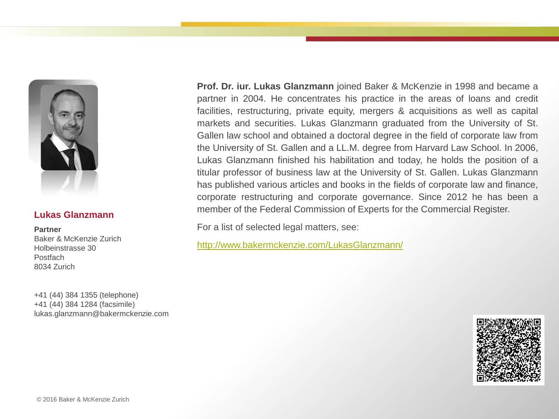

#### **Lukas Glanzmann**

**Partner** Baker & McKenzie Zurich Holbeinstrasse 30 **Postfach** 8034 Zurich

+41 (44) 384 1355 (telephone) +41 (44) 384 1284 (facsimile) lukas.glanzmann@bakermckenzie.com **Prof. Dr. iur. Lukas Glanzmann** joined Baker & McKenzie in 1998 and became a partner in 2004. He concentrates his practice in the areas of loans and credit facilities, restructuring, private equity, mergers & acquisitions as well as capital markets and securities. Lukas Glanzmann graduated from the University of St. Gallen law school and obtained a doctoral degree in the field of corporate law from the University of St. Gallen and a LL.M. degree from Harvard Law School. In 2006, Lukas Glanzmann finished his habilitation and today, he holds the position of a titular professor of business law at the University of St. Gallen. Lukas Glanzmann has published various articles and books in the fields of corporate law and finance, corporate restructuring and corporate governance. Since 2012 he has been a member of the Federal Commission of Experts for the Commercial Register.

For a list of selected legal matters, see:

<http://www.bakermckenzie.com/LukasGlanzmann/>

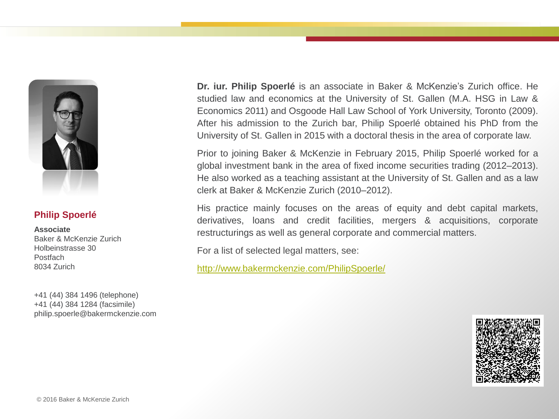

#### **Philip Spoerlé**

**Associate** Baker & McKenzie Zurich Holbeinstrasse 30 Postfach 8034 Zurich

+41 (44) 384 1496 (telephone) +41 (44) 384 1284 (facsimile) philip.spoerle@bakermckenzie.com **Dr. iur. Philip Spoerlé** is an associate in Baker & McKenzie's Zurich office. He studied law and economics at the University of St. Gallen (M.A. HSG in Law & Economics 2011) and Osgoode Hall Law School of York University, Toronto (2009). After his admission to the Zurich bar, Philip Spoerlé obtained his PhD from the University of St. Gallen in 2015 with a doctoral thesis in the area of corporate law.

Prior to joining Baker & McKenzie in February 2015, Philip Spoerlé worked for a global investment bank in the area of fixed income securities trading (2012–2013). He also worked as a teaching assistant at the University of St. Gallen and as a law clerk at Baker & McKenzie Zurich (2010–2012).

His practice mainly focuses on the areas of equity and debt capital markets, derivatives, loans and credit facilities, mergers & acquisitions, corporate restructurings as well as general corporate and commercial matters.

For a list of selected legal matters, see:

<http://www.bakermckenzie.com/PhilipSpoerle/>